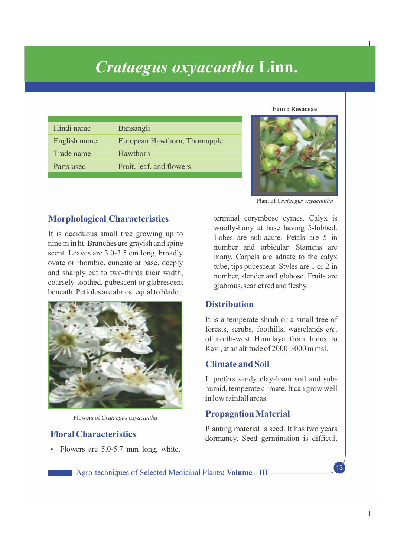# *Crataegus oxyacantha* **Linn.**

| Hindi name   | Bansangli                     |
|--------------|-------------------------------|
| English name | European Hawthorn, Thornapple |
| Trade name   | Hawthorn                      |
| Parts used   | Fruit, leaf, and flowers      |
|              |                               |

**Fam : Rosaceae**



Plant of *Crataegus oxyacantha* 

## **Morphological Characteristics**

It is deciduous small tree growing up to nine m in ht. Branches are grayish and spine scent. Leaves are 3.0-3.5 cm long, broadly ovate or rhombic, cuneate at base, deeply and sharply cut to two-thirds their width, coarsely-toothed, pubescent or glabrescent beneath. Petioles are almost equal to blade.



Flowers of *Crataegus oxyacantha* 

## **Floral Characteristics**

• Flowers are 5.0-5.7 mm long, white,

terminal corymbose cymes. Calyx is woolly-hairy at base having 5-lobbed. Lobes are sub-acute. Petals are 5 in number and orbicular. Stamens are many. Carpels are adnate to the calyx tube, tips pubescent. Styles are 1 or 2 in number, slender and globose. Fruits are glabrous, scarlet red and fleshy.

# **Distribution**

It is a temperate shrub or a small tree of forests, scrubs, foothills, wastelands *etc*. of north-west Himalaya from Indus to Ravi, at an altitude of 2000-3000 m msl.

## **Climate and Soil**

It prefers sandy clay-loam soil and subhumid, temperate climate. It can grow well in low rainfall areas.

## **Propagation Material**

Planting material is seed. It has two years dormancy. Seed germination is difficult

13

 $\overline{1}$ 

Agro-techniques of Selected Medicinal Plants**: Volume - III**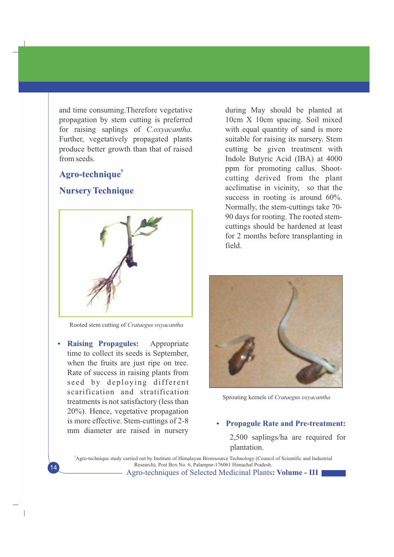and time consuming.Therefore vegetative propagation by stem cutting is preferred for raising saplings of *C.oxyacantha.* Further, vegetatively propagated plants produce better growth than that of raised from seeds.

# **<sup>5</sup> Agro-technique**

## **Nursery Technique**



Rooted stem cutting of *Crataegus oxyacantha*

• Raising Propagules: Appropriate time to collect its seeds is September, when the fruits are just ripe on tree. Rate of success in raising plants from seed by deploying different scarification and stratification treatments is not satisfactory (less than 20%). Hence, vegetative propagation is more effective. Stem-cuttings of 2-8 mm diameter are raised in nursery

 $\overline{\phantom{a}}$ 

during May should be planted at 10cm X 10cm spacing. Soil mixed with equal quantity of sand is more suitable for raising its nursery. Stem cutting be given treatment with Indole Butyric Acid (IBA) at 4000 ppm for promoting callus. Shootcutting derived from the plant acclimatise in vicinity, so that the success in rooting is around  $60\%$ . Normally, the stem-cuttings take 70- 90 days for rooting. The rooted stemcuttings should be hardened at least for 2 months before transplanting in field.



Sprouting kernels of *Crataegus oxyacantha*

### **Propagule Rate and Pre-treatment:**

2,500 saplings/ha are required for plantation.

Agro-techniques of Selected Medicinal Plants**: Volume - III** <sup>5</sup>Agro-technique study carried out by Institute of Himalayan Bioresource Technology (Council of Scientific and Industrial Research), Post Box No. 6, Palampur-176061 Himachal Pradesh.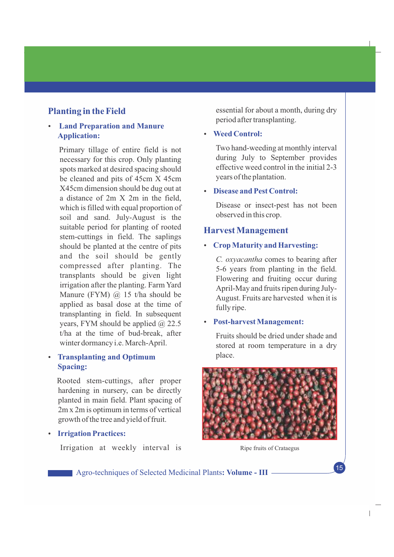# **Planting in the Field**

## **• Land Preparation and Manure Application:**

Primary tillage of entire field is not necessary for this crop. Only planting spots marked at desired spacing should be cleaned and pits of 45cm X 45cm X45cm dimension should be dug out at a distance of 2m X 2m in the field, which is filled with equal proportion of soil and sand. July-August is the suitable period for planting of rooted stem-cuttings in field. The saplings should be planted at the centre of pits and the soil should be gently compressed after planting. The transplants should be given light irrigation after the planting. Farm Yard Manure (FYM)  $(a)$  15 t/ha should be applied as basal dose at the time of transplanting in field. In subsequent years, FYM should be applied  $\omega$  22.5 t/ha at the time of bud-break, after winter dormancy i.e. March-April.

## **• Transplanting and Optimum Spacing:**

Rooted stem-cuttings, after proper hardening in nursery, can be directly planted in main field. Plant spacing of 2m x 2m is optimum in terms of vertical growth of the tree and yield of fruit.

**• Irrigation Practices:** 

Irrigation at weekly interval is Ripe fruits of Crataegus

essential for about a month, during dry period after transplanting.

## • Weed Control:

Two hand-weeding at monthly interval during July to September provides effective weed control in the initial 2-3 years of the plantation.

#### **• Disease and Pest Control:**

Disease or insect-pest has not been observed in this crop.

### **Harvest Management**

### Ÿ **Crop Maturity and Harvesting:**

*C. oxyacantha* comes to bearing after 5-6 years from planting in the field. Flowering and fruiting occur during April-May and fruits ripen during July-August. Fruits are harvested when it is fully ripe.

#### **Post-harvest Management:**

Fruits should be dried under shade and stored at room temperature in a dry place.



15

 $\overline{1}$ 

Agro-techniques of Selected Medicinal Plants**: Volume - III**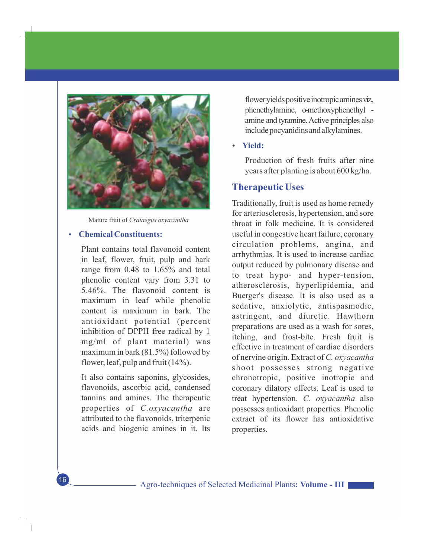

Mature fruit of *Crataegus oxyacantha*

#### **Chemical Constituents:**

Plant contains total flavonoid content in leaf, flower, fruit, pulp and bark range from 0.48 to 1.65% and total phenolic content vary from 3.31 to 5.46%. The flavonoid content is maximum in leaf while phenolic content is maximum in bark. The antioxidant potential (percent inhibition of DPPH free radical by 1 mg/ml of plant material) was maximum in bark (81.5%) followed by flower, leaf, pulp and fruit (14%).

It also contains saponins, glycosides, flavonoids, ascorbic acid, condensed tannins and amines. The therapeutic properties of *C.oxyacantha* are attributed to the flavonoids, triterpenic acids and biogenic amines in it. Its

16

 $\overline{1}$ 

flower yields positive inotropic amines viz., phenethylamine, o-methoxyphenethyl amine and tyramine.Active principles also include pocyanidins and alkylamines.

#### **Yield:**

Production of fresh fruits after nine years after planting is about 600 kg/ha.

## **Therapeutic Uses**

Traditionally, fruit is used as home remedy for arteriosclerosis, hypertension, and sore throat in folk medicine. It is considered useful in congestive heart failure, coronary circulation problems, angina, and arrhythmias. It is used to increase cardiac output reduced by pulmonary disease and to treat hypo- and hyper-tension, atherosclerosis, hyperlipidemia, and Buerger's disease. It is also used as a sedative, anxiolytic, antispasmodic, astringent, and diuretic. Hawthorn preparations are used as a wash for sores, itching, and frost-bite. Fresh fruit is effective in treatment of cardiac disorders of nervine origin. Extract of *C. oxyacantha* shoot possesses strong negative chronotropic, positive inotropic and coronary dilatory effects. Leaf is used to treat hypertension. *C. oxyacantha* also possesses antioxidant properties. Phenolic extract of its flower has antioxidative properties.

Agro-techniques of Selected Medicinal Plants**: Volume - III**